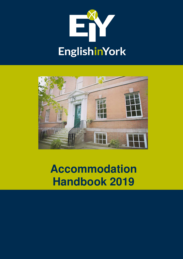



**Accommodation Handbook 2019**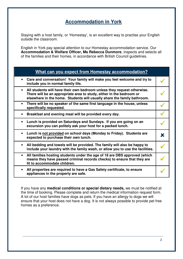# **Accommodation in York**

Staying with a host family, or 'Homestay', is an excellent way to practise your English outside the classroom.

English in York pay special attention to our Homestay accommodation service. Our **Accommodation & Welfare Officer, Ms Rebecca Dunmore**, inspects and selects all of the families and their homes, in accordance with British Council guidelines.

## **What can you expect from Homestay accommodation?**

|           | Care and conversation! Your family will make you feel welcome and try to<br>include you in normal family life.                                                                                                             |   |
|-----------|----------------------------------------------------------------------------------------------------------------------------------------------------------------------------------------------------------------------------|---|
| $\bullet$ | All students will have their own bedroom unless they request otherwise.<br>There will be an appropriate area to study, either in the bedroom or<br>elsewhere in the home. Students will usually share the family bathroom. |   |
| $\bullet$ | There will be no speaker of the same first language in the house, unless<br>specifically requested.                                                                                                                        |   |
| $\bullet$ | Breakfast and evening meal will be provided every day.                                                                                                                                                                     |   |
|           | Lunch is provided on Saturdays and Sundays. If you are going on an<br>excursion you can politely ask your host for a packed lunch.                                                                                         |   |
| $\bullet$ | Lunch is not provided on school days (Monday to Friday). Students are<br>expected to purchase their own lunch.                                                                                                             | X |
| $\bullet$ | All bedding and towels will be provided. The family will also be happy to<br>include your laundry with the family wash, or allow you to use the facilities.                                                                |   |
| $\bullet$ | All families hosting students under the age of 18 are DBS approved (which<br>means they have passed criminal records checks) to ensure that they are<br>fit to accommodate children.                                       |   |
|           | All properties are required to have a Gas Safety certificate, to ensure<br>appliances in the property are safe.                                                                                                            |   |

If you have any **medical conditions or special dietary needs,** we must be notified at the time of booking. Please complete and return the medical information request form. A lot of our host families have dogs as pets. If you have an allergy to dogs we will ensure that your host does not have a dog. It is not always possible to provide pet free homes as a preference.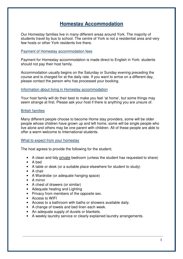# **Homestay Accommodation**

Our Homestay families live in many different areas around York. The majority of students travel by bus to school. The centre of York is not a residential area and very few hosts or other York residents live there.

#### Payment of Homestay accommodation fees

Payment for Homestay accommodation is made direct to English in York: students should not pay their host family.

Accommodation usually begins on the Saturday or Sunday evening preceding the course and is charged for at the daily rate. If you want to arrive on a different day, please contact the person who has processed your booking.

#### Information about living in Homestay accommodation

Your host family will do their best to make you feel 'at home', but some things may seem strange at first. Please ask your host if there is anything you are unsure of.

## British families

Many different people choose to become Home stay providers, some will be older people whose children have grown up and left home, some will be single people who live alone and others may be one parent with children. All of these people are able to offer a warm welcome to International students.

#### What to expect from your homestay

The host agrees to provide the following for the student;

- A clean and tidy private bedroom (unless the student has requested to share)
- A bed
- A table or desk (or a suitable place elsewhere for student to study)
- A chair
- A Wardrobe (or adequate hanging space)
- A mirror
- A chest of drawers (or similar)
- Adequate heating and Lighting
- Privacy from members of the opposite sex.
- Access to WIFI
- Access to a bathroom with baths or showers available daily.
- A change of towels and bed linen each week.
- An adequate supply of duvets or blankets.
- A weekly laundry service or clearly explained laundry arrangements.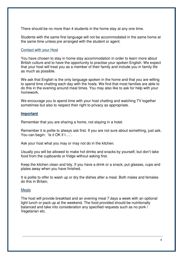There should be no more than 4 students in the home stay at any one time.

Students with the same first language will not be accommodated in the same home at the same time unless pre arranged with the student or agent.

## Contact with your Host

You have chosen to stay in home stay accommodation in order to learn more about British culture and to have the opportunity to practise your spoken English. We expect that your host will treat you as a member of their family and include you in family life as much as possible.

We ask that English is the only language spoken in the home and that you are willing to spend time chatting each day with the hosts. We find that most families are able to do this in the evening around meal times. You may also like to ask for help with your homework.

We encourage you to spend time with your host chatting and watching TV together sometimes but also to respect their right to privacy as appropriate.

#### **Important**

Remember that you are sharing a home, not staying in a hotel.

Remember it is polite to always ask first. If you are not sure about something, just ask. You can begin: 'Is it OK if I....'.

Ask your host what you may or may not do in the kitchen.

Usually you will be allowed to make hot drinks and snacks by yourself, but don't take food from the cupboards or fridge without asking first.

Keep the kitchen clean and tidy. If you have a drink or a snack, put glasses, cups and plates away when you have finished.

It is polite to offer to wash up or dry the dishes after a meal. Both males and females do this in Britain.

#### Meals

The host will provide breakfast and an evening meal 7 days a week with an optional light lunch or pack up at the weekend. The food provided should be nutritionally balanced and take into consideration any specified requests such as no pork / Vegetarian etc.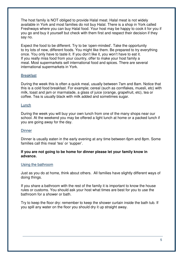The host family is NOT obliged to provide Halal meat. Halal meat is not widely available in York and most families do not buy Halal. There is a shop in York called Freshways where you can buy Halal food. Your host may be happy to cook it for you if you go and buy it yourself but check with them first and respect their decision if they say no.

Expect the food to be different. Try to be 'open-minded'. Take the opportunity to try lots of new, different foods. You might like them. Be prepared to try everything once. You only have to taste it. If you don't like it, you won't have to eat it. If you really miss food from your country, offer to make your host family a meal. Most supermarkets sell international food and spices. There are several international supermarkets in York.

## **Breakfast**

During the week this is often a quick meal, usually between 7am and 8am. Notice that this is a cold food breakfast. For example; cereal (such as cornflakes, muesli, etc) with milk, toast and jam or marmalade, a glass of juice (orange, grapefruit, etc), tea or coffee. Tea is usually black with milk added and sometimes sugar.

## **Lunch**

During the week you will buy your own lunch from one of the many shops near our school. At the weekend you may be offered a light lunch at home or a packed lunch if you are going away for the day.

## **Dinner**

Dinner is usually eaten in the early evening at any time between 6pm and 8pm. Some families call this meal 'tea' or 'supper'.

## **If you are not going to be home for dinner please let your family know in advance.**

#### Using the bathroom

Just as you do at home, think about others. All families have slightly different ways of doing things.

If you share a bathroom with the rest of the family it is important to know the house rules or customs. You should ask your host what times are best for you to use the bathroom for a shower or bath.

Try to keep the floor dry: remember to keep the shower curtain inside the bath tub. If you spill any water on the floor you should dry it up straight away.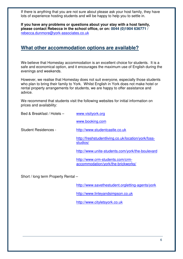If there is anything that you are not sure about please ask your host family, they have lots of experience hosting students and will be happy to help you to settle in.

**If you have any problems or questions about your stay with a host family, please contact Rebecca in the school office, or on: 0044 (0)1904 636771 /**  rebecca.dunmore@york-associates.co.uk

## **What other accommodation options are available?**

We believe that Homestay accommodation is an excellent choice for students. It is a safe and economical option, and it encourages the maximum use of English during the evenings and weekends.

However, we realise that Homestay does not suit everyone, especially those students who plan to bring their family to York. Whilst English in York does not make hotel or rental property arrangements for students, we are happy to offer assistance and advice.

We recommend that students visit the following websites for initial information on prices and availability:

| Bed & Breakfast / Hotels -  | www.visityork.org                                                      |  |
|-----------------------------|------------------------------------------------------------------------|--|
|                             | www.booking.com                                                        |  |
| <b>Student Residences -</b> | http://www.studentcastle.co.uk                                         |  |
|                             | http://freshstudentliving.co.uk/location/york/foss-<br>studios/        |  |
|                             | http://www.unite-students.com/york/the-boulevard                       |  |
|                             | http://www.crm-students.com/crm-<br>accommodation/york/the-brickworks/ |  |

Short / long term Property Rental –

http://www.savethestudent.orgletting-agents/york

http://www.linleyandsimpson.co.uk

http://www.cityletsyork.co.uk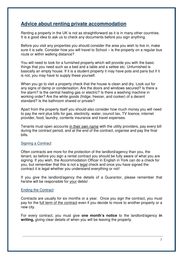# **Advice about renting private accommodation**

Renting a property in the UK is not as straightforward as it is in many other countries. It is a good idea to ask us to check any documents before you sign anything.

Before you visit any properties you should consider the area you wish to live in, make sure it is safe. Consider how you will travel to School – is the property on a regular bus route or within walking distance?

You will need to look for a furnished property which will provide you with the basic things that you need such as a bed and a table and a settee etc. Unfurnished is basically an empty house. If it is a student property it may have pots and pans but if it is not, you may have to supply these yourself.

When you go to visit a property check that the house is clean and dry. Look out for any signs of damp or condensation. Are the doors and windows secured? Is there a fire alarm? Is the central heating gas or electric? Is there a washing machine in working order? Are the white goods (fridge, freezer, and cooker) of a decent standard? Is the bathroom shared or private?

Apart from the property itself you should also consider how much money you will need to pay the rent plus bills for gas, electricity, water, council tax, TV licence, internet provider, food, laundry, contents insurance and travel expenses.

Tenants must open accounts in their own name with the utility providers, pay every bill during the contract period, and at the end of the contract, organise and pay the final bills.

## Signing a Contract

Often contracts are more for the protection of the landlord/agency than you, the tenant, so before you sign a rental contract you should be fully aware of what you are signing. If you wish, the Accommodation Officer in English in York can do a check for you, but remember that this is not a legal check and once you have signed the contract it is legal whether you understand everything or not!

If you give the landlord/agency the details of a Guarantor, please remember that he/she will be responsible for your debts!

## Ending the Contract

Contracts are usually for six months or a year. Once you sign the contract, you must pay for the full term of the contract even if you decide to move to another property or a new city.

For every contract, you must give **one month's notice** to the landlord/agency **in writing,** giving clear details of when you will be leaving the property.